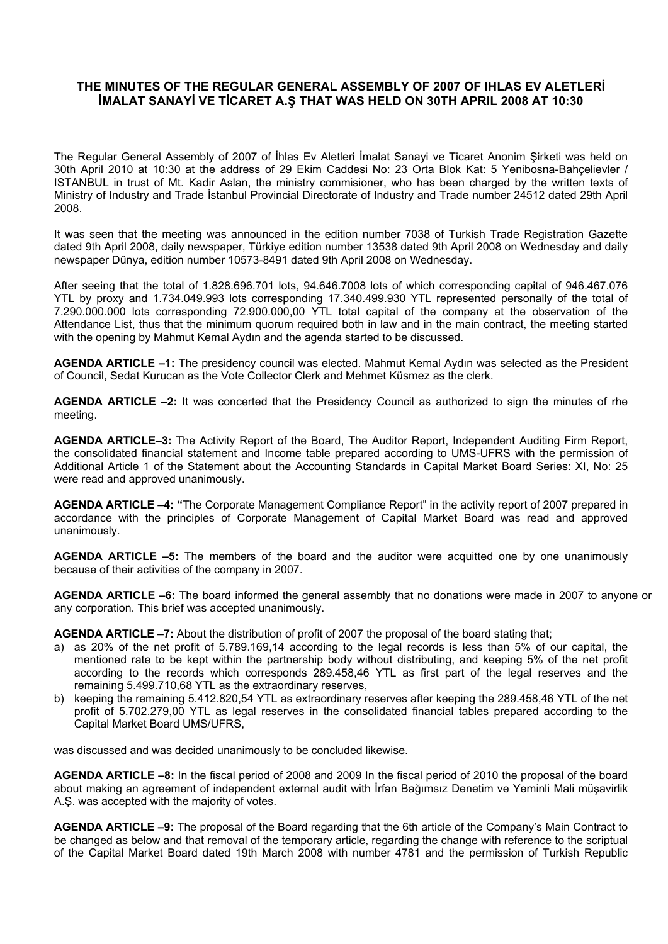# **THE MINUTES OF THE REGULAR GENERAL ASSEMBLY OF 2007 OF IHLAS EV ALETLERİ İMALAT SANAYİ VE TİCARET A.Ş THAT WAS HELD ON 30TH APRIL 2008 AT 10:30**

The Regular General Assembly of 2007 of İhlas Ev Aletleri İmalat Sanayi ve Ticaret Anonim Şirketi was held on 30th April 2010 at 10:30 at the address of 29 Ekim Caddesi No: 23 Orta Blok Kat: 5 Yenibosna-Bahçelievler / ISTANBUL in trust of Mt. Kadir Aslan, the ministry commisioner, who has been charged by the written texts of Ministry of Industry and Trade İstanbul Provincial Directorate of Industry and Trade number 24512 dated 29th April 2008.

It was seen that the meeting was announced in the edition number 7038 of Turkish Trade Registration Gazette dated 9th April 2008, daily newspaper, Türkiye edition number 13538 dated 9th April 2008 on Wednesday and daily newspaper Dünya, edition number 10573-8491 dated 9th April 2008 on Wednesday.

After seeing that the total of 1.828.696.701 lots, 94.646.7008 lots of which corresponding capital of 946.467.076 YTL by proxy and 1.734.049.993 lots corresponding 17.340.499.930 YTL represented personally of the total of 7.290.000.000 lots corresponding 72.900.000,00 YTL total capital of the company at the observation of the Attendance List, thus that the minimum quorum required both in law and in the main contract, the meeting started with the opening by Mahmut Kemal Aydın and the agenda started to be discussed.

**AGENDA ARTICLE –1:** The presidency council was elected. Mahmut Kemal Aydın was selected as the President of Council, Sedat Kurucan as the Vote Collector Clerk and Mehmet Küsmez as the clerk.

**AGENDA ARTICLE –2:** It was concerted that the Presidency Council as authorized to sign the minutes of rhe meeting.

**AGENDA ARTICLE–3:** The Activity Report of the Board, The Auditor Report, Independent Auditing Firm Report, the consolidated financial statement and Income table prepared according to UMS-UFRS with the permission of Additional Article 1 of the Statement about the Accounting Standards in Capital Market Board Series: XI, No: 25 were read and approved unanimously.

**AGENDA ARTICLE –4: "**The Corporate Management Compliance Report" in the activity report of 2007 prepared in accordance with the principles of Corporate Management of Capital Market Board was read and approved unanimously.

**AGENDA ARTICLE –5:** The members of the board and the auditor were acquitted one by one unanimously because of their activities of the company in 2007.

**AGENDA ARTICLE –6:** The board informed the general assembly that no donations were made in 2007 to anyone or any corporation. This brief was accepted unanimously.

**AGENDA ARTICLE –7:** About the distribution of profit of 2007 the proposal of the board stating that;

- a) as 20% of the net profit of 5.789.169,14 according to the legal records is less than 5% of our capital, the mentioned rate to be kept within the partnership body without distributing, and keeping 5% of the net profit according to the records which corresponds 289.458,46 YTL as first part of the legal reserves and the remaining 5.499.710,68 YTL as the extraordinary reserves,
- b) keeping the remaining 5.412.820,54 YTL as extraordinary reserves after keeping the 289.458,46 YTL of the net profit of 5.702.279,00 YTL as legal reserves in the consolidated financial tables prepared according to the Capital Market Board UMS/UFRS,

was discussed and was decided unanimously to be concluded likewise.

**AGENDA ARTICLE –8:** In the fiscal period of 2008 and 2009 In the fiscal period of 2010 the proposal of the board about making an agreement of independent external audit with İrfan Bağımsız Denetim ve Yeminli Mali müşavirlik A.Ş. was accepted with the majority of votes.

**AGENDA ARTICLE –9:** The proposal of the Board regarding that the 6th article of the Company's Main Contract to be changed as below and that removal of the temporary article, regarding the change with reference to the scriptual of the Capital Market Board dated 19th March 2008 with number 4781 and the permission of Turkish Republic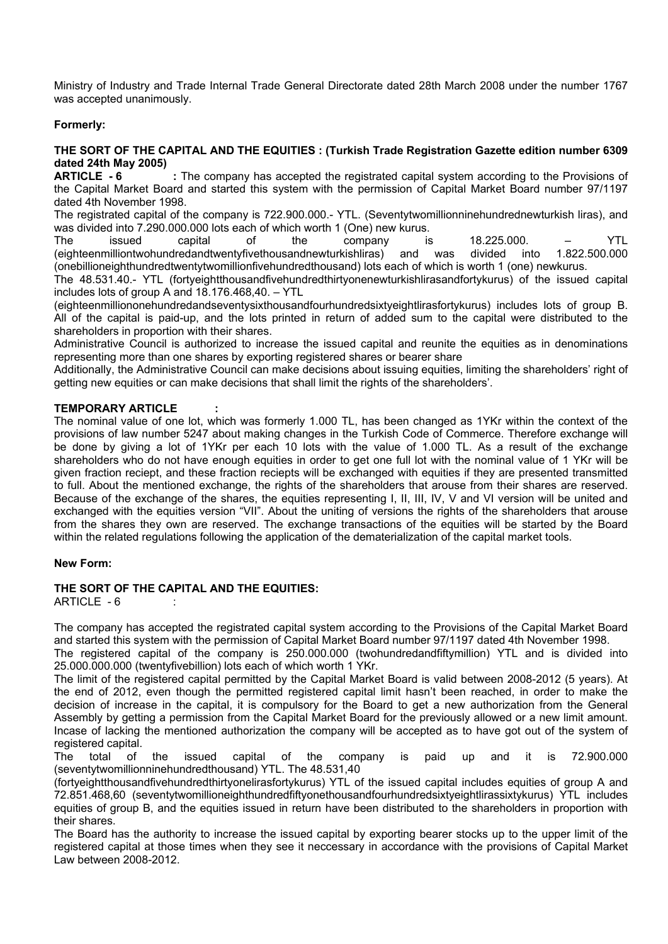Ministry of Industry and Trade Internal Trade General Directorate dated 28th March 2008 under the number 1767 was accepted unanimously.

## **Formerly:**

### **THE SORT OF THE CAPITAL AND THE EQUITIES : (Turkish Trade Registration Gazette edition number 6309 dated 24th May 2005)**

**ARTICLE - 6** : The company has accepted the registrated capital system according to the Provisions of the Capital Market Board and started this system with the permission of Capital Market Board number 97/1197 dated 4th November 1998.

The registrated capital of the company is 722.900.000.- YTL. (Seventytwomillionninehundrednewturkish liras), and was divided into 7.290.000.000 lots each of which worth 1 (One) new kurus.<br>The sisued capital of the company is

The issued capital of the company is 18.225.000. – YTL (eighteenmilliontwohundredandtwentyfivethousandnewturkishliras) and was divided into 1.822.500.000 (onebillioneighthundredtwentytwomillionfivehundredthousand) lots each of which is worth 1 (one) newkurus.

The 48.531.40.- YTL (fortyeightthousandfivehundredthirtyonenewturkishlirasandfortykurus) of the issued capital includes lots of group A and 18.176.468,40. – YTL

(eighteenmilliononehundredandseventysixthousandfourhundredsixtyeightlirasfortykurus) includes lots of group B. All of the capital is paid-up, and the lots printed in return of added sum to the capital were distributed to the shareholders in proportion with their shares.

Administrative Council is authorized to increase the issued capital and reunite the equities as in denominations representing more than one shares by exporting registered shares or bearer share

Additionally, the Administrative Council can make decisions about issuing equities, limiting the shareholders' right of getting new equities or can make decisions that shall limit the rights of the shareholders'.

#### **TEMPORARY ARTICLE :**

The nominal value of one lot, which was formerly 1.000 TL, has been changed as 1YKr within the context of the provisions of law number 5247 about making changes in the Turkish Code of Commerce. Therefore exchange will be done by giving a lot of 1YKr per each 10 lots with the value of 1.000 TL. As a result of the exchange shareholders who do not have enough equities in order to get one full lot with the nominal value of 1 YKr will be given fraction reciept, and these fraction reciepts will be exchanged with equities if they are presented transmitted to full. About the mentioned exchange, the rights of the shareholders that arouse from their shares are reserved. Because of the exchange of the shares, the equities representing I, II, III, IV, V and VI version will be united and exchanged with the equities version "VII". About the uniting of versions the rights of the shareholders that arouse from the shares they own are reserved. The exchange transactions of the equities will be started by the Board within the related regulations following the application of the dematerialization of the capital market tools.

#### **New Form:**

#### **THE SORT OF THE CAPITAL AND THE EQUITIES:**

ARTICLE - 6 :

The company has accepted the registrated capital system according to the Provisions of the Capital Market Board and started this system with the permission of Capital Market Board number 97/1197 dated 4th November 1998.

The registered capital of the company is 250.000.000 (twohundredandfiftymillion) YTL and is divided into 25.000.000.000 (twentyfivebillion) lots each of which worth 1 YKr.

The limit of the registered capital permitted by the Capital Market Board is valid between 2008-2012 (5 years). At the end of 2012, even though the permitted registered capital limit hasn't been reached, in order to make the decision of increase in the capital, it is compulsory for the Board to get a new authorization from the General Assembly by getting a permission from the Capital Market Board for the previously allowed or a new limit amount. Incase of lacking the mentioned authorization the company will be accepted as to have got out of the system of registered capital.

The total of the issued capital of the company is paid up and it is 72.900.000 (seventytwomillionninehundredthousand) YTL. The 48.531,40

(fortyeightthousandfivehundredthirtyonelirasfortykurus) YTL of the issued capital includes equities of group A and 72.851.468,60 (seventytwomillioneighthundredfiftyonethousandfourhundredsixtyeightlirassixtykurus) YTL includes equities of group B, and the equities issued in return have been distributed to the shareholders in proportion with their shares.

The Board has the authority to increase the issued capital by exporting bearer stocks up to the upper limit of the registered capital at those times when they see it neccessary in accordance with the provisions of Capital Market Law between 2008-2012.